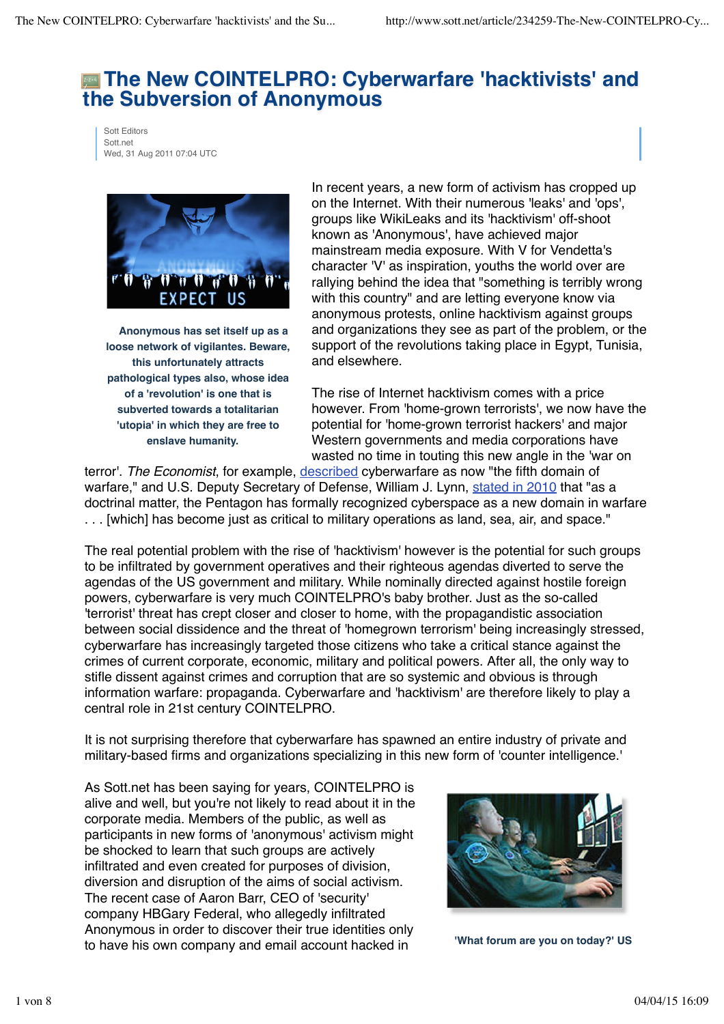# **The New COINTELPRO: Cyberwarfare 'hacktivists' and the Subversion of Anonymous**

Sott Editors Sott.net Wed, 31 Aug 2011 07:04 UTC



**Anonymous has set itself up as a loose network of vigilantes. Beware, this unfortunately attracts pathological types also, whose idea of a 'revolution' is one that is subverted towards a totalitarian 'utopia' in which they are free to enslave humanity.**

In recent years, a new form of activism has cropped up on the Internet. With their numerous 'leaks' and 'ops', groups like WikiLeaks and its 'hacktivism' off-shoot known as 'Anonymous', have achieved major mainstream media exposure. With V for Vendetta's character 'V' as inspiration, youths the world over are rallying behind the idea that "something is terribly wrong with this country" and are letting everyone know via anonymous protests, online hacktivism against groups and organizations they see as part of the problem, or the support of the revolutions taking place in Egypt, Tunisia, and elsewhere.

The rise of Internet hacktivism comes with a price however. From 'home-grown terrorists', we now have the potential for 'home-grown terrorist hackers' and major Western governments and media corporations have wasted no time in touting this new angle in the 'war on

terror'. *The Economist*, for example, described cyberwarfare as now "the fifth domain of warfare," and U.S. Deputy Secretary of Defense, William J. Lynn, stated in 2010 that "as a doctrinal matter, the Pentagon has formally recognized cyberspace as a new domain in warfare . . . [which] has become just as critical to military operations as land, sea, air, and space."

The real potential problem with the rise of 'hacktivism' however is the potential for such groups to be infiltrated by government operatives and their righteous agendas diverted to serve the agendas of the US government and military. While nominally directed against hostile foreign powers, cyberwarfare is very much COINTELPRO's baby brother. Just as the so-called 'terrorist' threat has crept closer and closer to home, with the propagandistic association between social dissidence and the threat of 'homegrown terrorism' being increasingly stressed, cyberwarfare has increasingly targeted those citizens who take a critical stance against the crimes of current corporate, economic, military and political powers. After all, the only way to stifle dissent against crimes and corruption that are so systemic and obvious is through information warfare: propaganda. Cyberwarfare and 'hacktivism' are therefore likely to play a central role in 21st century COINTELPRO.

It is not surprising therefore that cyberwarfare has spawned an entire industry of private and military-based firms and organizations specializing in this new form of 'counter intelligence.'

As Sott.net has been saying for years, COINTELPRO is alive and well, but you're not likely to read about it in the corporate media. Members of the public, as well as participants in new forms of 'anonymous' activism might be shocked to learn that such groups are actively infiltrated and even created for purposes of division, diversion and disruption of the aims of social activism. The recent case of Aaron Barr, CEO of 'security' company HBGary Federal, who allegedly infiltrated Anonymous in order to discover their true identities only to have his own company and email account hacked in



**'What forum are you on today?' US**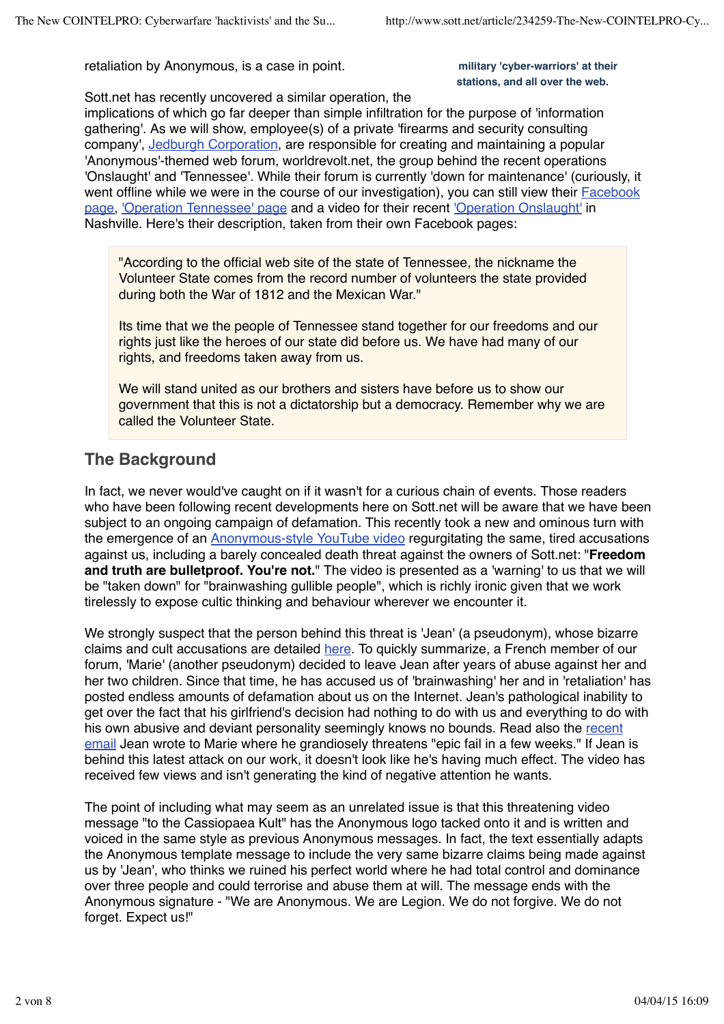retaliation by Anonymous, is a case in point.

#### **military 'cyber-warriors' at their stations, and all over the web.**

Sott.net has recently uncovered a similar operation, the

implications of which go far deeper than simple infiltration for the purpose of 'information gathering'. As we will show, employee(s) of a private 'firearms and security consulting company', Jedburgh Corporation, are responsible for creating and maintaining a popular 'Anonymous'-themed web forum, worldrevolt.net, the group behind the recent operations 'Onslaught' and 'Tennessee'. While their forum is currently 'down for maintenance' (curiously, it went offline while we were in the course of our investigation), you can still view their **Facebook** page, 'Operation Tennessee' page and a video for their recent 'Operation Onslaught' in Nashville. Here's their description, taken from their own Facebook pages:

"According to the official web site of the state of Tennessee, the nickname the Volunteer State comes from the record number of volunteers the state provided during both the War of 1812 and the Mexican War."

Its time that we the people of Tennessee stand together for our freedoms and our rights just like the heroes of our state did before us. We have had many of our rights, and freedoms taken away from us.

We will stand united as our brothers and sisters have before us to show our government that this is not a dictatorship but a democracy. Remember why we are called the Volunteer State.

## **The Background**

In fact, we never would've caught on if it wasn't for a curious chain of events. Those readers who have been following recent developments here on Sott.net will be aware that we have been subject to an ongoing campaign of defamation. This recently took a new and ominous turn with the emergence of an Anonymous-style YouTube video regurgitating the same, tired accusations against us, including a barely concealed death threat against the owners of Sott.net: "**Freedom and truth are bulletproof. You're not.**" The video is presented as a 'warning' to us that we will be "taken down" for "brainwashing gullible people", which is richly ironic given that we work tirelessly to expose cultic thinking and behaviour wherever we encounter it.

We strongly suspect that the person behind this threat is 'Jean' (a pseudonym), whose bizarre claims and cult accusations are detailed here. To quickly summarize, a French member of our forum, 'Marie' (another pseudonym) decided to leave Jean after years of abuse against her and her two children. Since that time, he has accused us of 'brainwashing' her and in 'retaliation' has posted endless amounts of defamation about us on the Internet. Jean's pathological inability to get over the fact that his girlfriend's decision had nothing to do with us and everything to do with his own abusive and deviant personality seemingly knows no bounds. Read also the recent email Jean wrote to Marie where he grandiosely threatens "epic fail in a few weeks." If Jean is behind this latest attack on our work, it doesn't look like he's having much effect. The video has received few views and isn't generating the kind of negative attention he wants.

The point of including what may seem as an unrelated issue is that this threatening video message "to the Cassiopaea Kult" has the Anonymous logo tacked onto it and is written and voiced in the same style as previous Anonymous messages. In fact, the text essentially adapts the Anonymous template message to include the very same bizarre claims being made against us by 'Jean', who thinks we ruined his perfect world where he had total control and dominance over three people and could terrorise and abuse them at will. The message ends with the Anonymous signature - "We are Anonymous. We are Legion. We do not forgive. We do not forget. Expect us!"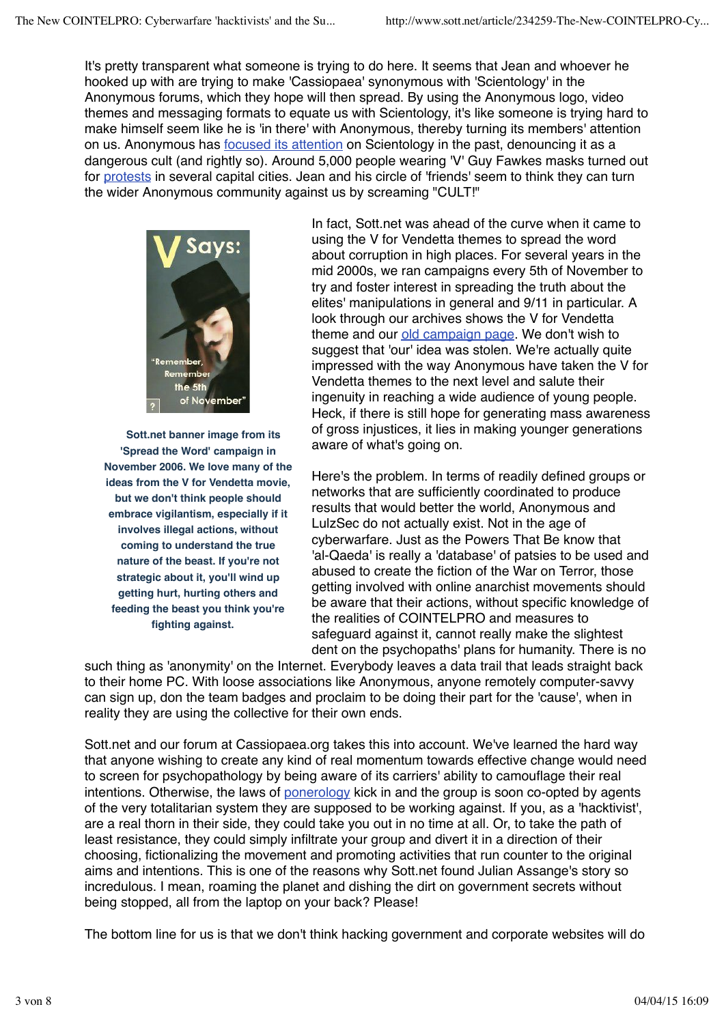It's pretty transparent what someone is trying to do here. It seems that Jean and whoever he hooked up with are trying to make 'Cassiopaea' synonymous with 'Scientology' in the Anonymous forums, which they hope will then spread. By using the Anonymous logo, video themes and messaging formats to equate us with Scientology, it's like someone is trying hard to make himself seem like he is 'in there' with Anonymous, thereby turning its members' attention on us. Anonymous has focused its attention on Scientology in the past, denouncing it as a dangerous cult (and rightly so). Around 5,000 people wearing 'V' Guy Fawkes masks turned out for protests in several capital cities. Jean and his circle of 'friends' seem to think they can turn the wider Anonymous community against us by screaming "CULT!"



**Sott.net banner image from its 'Spread the Word' campaign in November 2006. We love many of the ideas from the V for Vendetta movie, but we don't think people should embrace vigilantism, especially if it involves illegal actions, without coming to understand the true nature of the beast. If you're not strategic about it, you'll wind up getting hurt, hurting others and feeding the beast you think you're fighting against.**

In fact, Sott.net was ahead of the curve when it came to using the V for Vendetta themes to spread the word about corruption in high places. For several years in the mid 2000s, we ran campaigns every 5th of November to try and foster interest in spreading the truth about the elites' manipulations in general and 9/11 in particular. A look through our archives shows the V for Vendetta theme and our old campaign page. We don't wish to suggest that 'our' idea was stolen. We're actually quite impressed with the way Anonymous have taken the V for Vendetta themes to the next level and salute their ingenuity in reaching a wide audience of young people. Heck, if there is still hope for generating mass awareness of gross injustices, it lies in making younger generations aware of what's going on.

Here's the problem. In terms of readily defined groups or networks that are sufficiently coordinated to produce results that would better the world, Anonymous and LulzSec do not actually exist. Not in the age of cyberwarfare. Just as the Powers That Be know that 'al-Qaeda' is really a 'database' of patsies to be used and abused to create the fiction of the War on Terror, those getting involved with online anarchist movements should be aware that their actions, without specific knowledge of the realities of COINTELPRO and measures to safeguard against it, cannot really make the slightest dent on the psychopaths' plans for humanity. There is no

such thing as 'anonymity' on the Internet. Everybody leaves a data trail that leads straight back to their home PC. With loose associations like Anonymous, anyone remotely computer-savvy can sign up, don the team badges and proclaim to be doing their part for the 'cause', when in reality they are using the collective for their own ends.

Sott.net and our forum at Cassiopaea.org takes this into account. We've learned the hard way that anyone wishing to create any kind of real momentum towards effective change would need to screen for psychopathology by being aware of its carriers' ability to camouflage their real intentions. Otherwise, the laws of ponerology kick in and the group is soon co-opted by agents of the very totalitarian system they are supposed to be working against. If you, as a 'hacktivist', are a real thorn in their side, they could take you out in no time at all. Or, to take the path of least resistance, they could simply infiltrate your group and divert it in a direction of their choosing, fictionalizing the movement and promoting activities that run counter to the original aims and intentions. This is one of the reasons why Sott.net found Julian Assange's story so incredulous. I mean, roaming the planet and dishing the dirt on government secrets without being stopped, all from the laptop on your back? Please!

The bottom line for us is that we don't think hacking government and corporate websites will do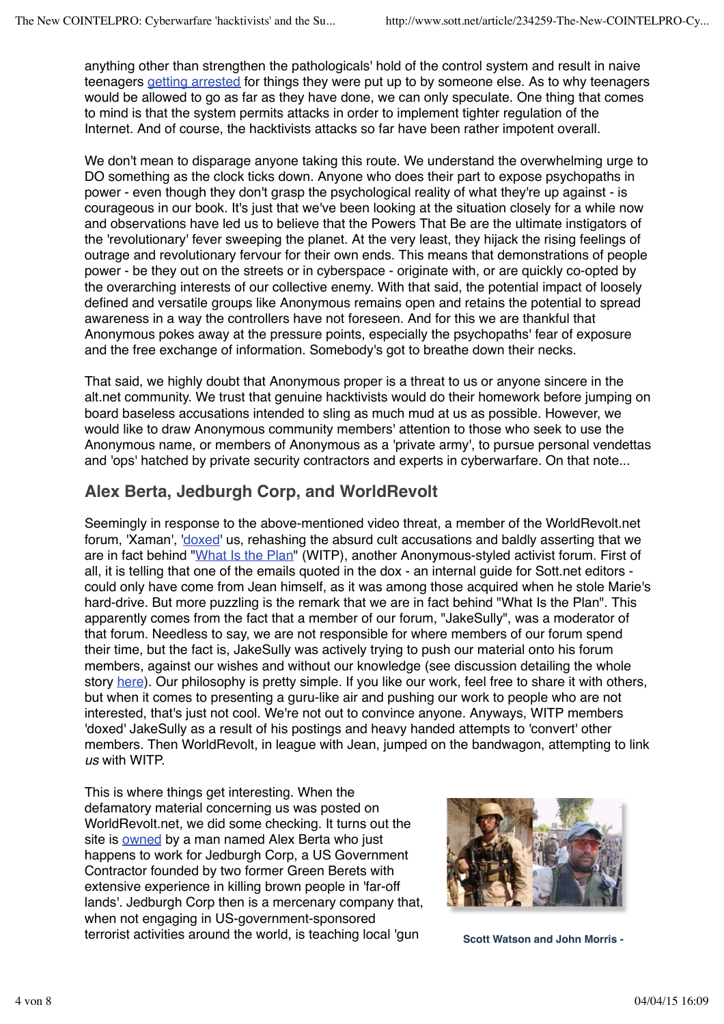anything other than strengthen the pathologicals' hold of the control system and result in naive teenagers getting arrested for things they were put up to by someone else. As to why teenagers would be allowed to go as far as they have done, we can only speculate. One thing that comes to mind is that the system permits attacks in order to implement tighter regulation of the Internet. And of course, the hacktivists attacks so far have been rather impotent overall.

We don't mean to disparage anyone taking this route. We understand the overwhelming urge to DO something as the clock ticks down. Anyone who does their part to expose psychopaths in power - even though they don't grasp the psychological reality of what they're up against - is courageous in our book. It's just that we've been looking at the situation closely for a while now and observations have led us to believe that the Powers That Be are the ultimate instigators of the 'revolutionary' fever sweeping the planet. At the very least, they hijack the rising feelings of outrage and revolutionary fervour for their own ends. This means that demonstrations of people power - be they out on the streets or in cyberspace - originate with, or are quickly co-opted by the overarching interests of our collective enemy. With that said, the potential impact of loosely defined and versatile groups like Anonymous remains open and retains the potential to spread awareness in a way the controllers have not foreseen. And for this we are thankful that Anonymous pokes away at the pressure points, especially the psychopaths' fear of exposure and the free exchange of information. Somebody's got to breathe down their necks.

That said, we highly doubt that Anonymous proper is a threat to us or anyone sincere in the alt.net community. We trust that genuine hacktivists would do their homework before jumping on board baseless accusations intended to sling as much mud at us as possible. However, we would like to draw Anonymous community members' attention to those who seek to use the Anonymous name, or members of Anonymous as a 'private army', to pursue personal vendettas and 'ops' hatched by private security contractors and experts in cyberwarfare. On that note...

## **Alex Berta, Jedburgh Corp, and WorldRevolt**

Seemingly in response to the above-mentioned video threat, a member of the WorldRevolt.net forum, 'Xaman', 'doxed' us, rehashing the absurd cult accusations and baldly asserting that we are in fact behind "What Is the Plan" (WITP), another Anonymous-styled activist forum. First of all, it is telling that one of the emails quoted in the dox - an internal guide for Sott.net editors could only have come from Jean himself, as it was among those acquired when he stole Marie's hard-drive. But more puzzling is the remark that we are in fact behind "What Is the Plan". This apparently comes from the fact that a member of our forum, "JakeSully", was a moderator of that forum. Needless to say, we are not responsible for where members of our forum spend their time, but the fact is, JakeSully was actively trying to push our material onto his forum members, against our wishes and without our knowledge (see discussion detailing the whole story here). Our philosophy is pretty simple. If you like our work, feel free to share it with others, but when it comes to presenting a guru-like air and pushing our work to people who are not interested, that's just not cool. We're not out to convince anyone. Anyways, WITP members 'doxed' JakeSully as a result of his postings and heavy handed attempts to 'convert' other members. Then WorldRevolt, in league with Jean, jumped on the bandwagon, attempting to link *us* with WITP.

This is where things get interesting. When the defamatory material concerning us was posted on WorldRevolt.net, we did some checking. It turns out the site is owned by a man named Alex Berta who just happens to work for Jedburgh Corp, a US Government Contractor founded by two former Green Berets with extensive experience in killing brown people in 'far-off lands'. Jedburgh Corp then is a mercenary company that, when not engaging in US-government-sponsored terrorist activities around the world, is teaching local 'gun scott Watson and John Morris -

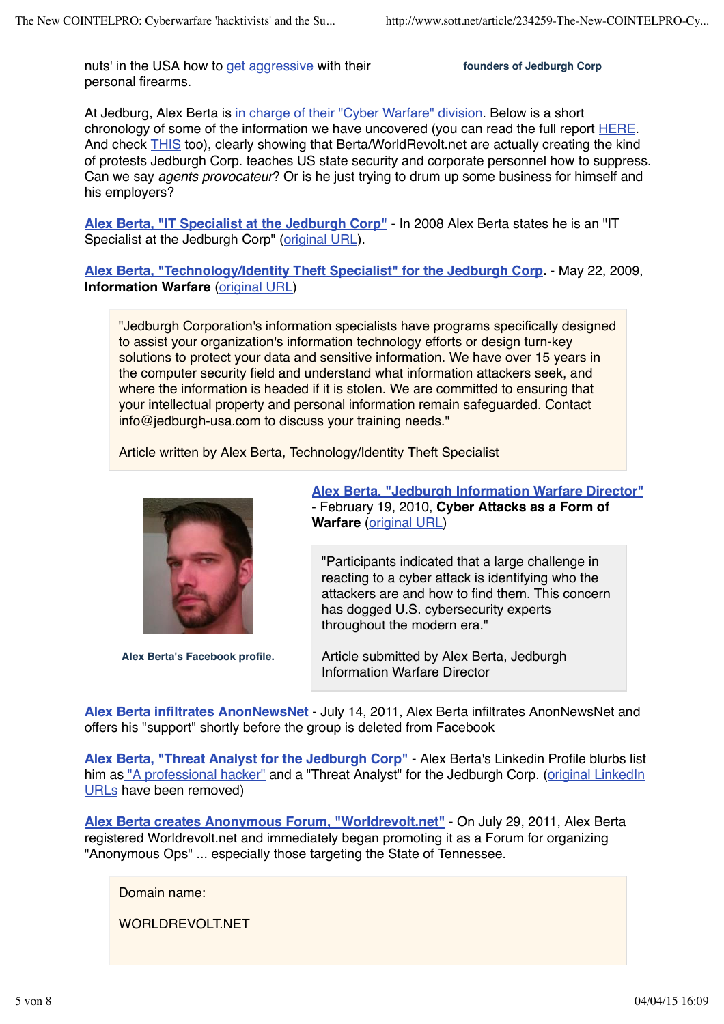nuts' in the USA how to get aggressive with their personal firearms.

**founders of Jedburgh Corp**

At Jedburg, Alex Berta is in charge of their "Cyber Warfare" division. Below is a short chronology of some of the information we have uncovered (you can read the full report HERE. And check THIS too), clearly showing that Berta/WorldRevolt.net are actually creating the kind of protests Jedburgh Corp. teaches US state security and corporate personnel how to suppress. Can we say *agents provocateur*? Or is he just trying to drum up some business for himself and his employers?

**Alex Berta, "IT Specialist at the Jedburgh Corp"** - In 2008 Alex Berta states he is an "IT Specialist at the Jedburgh Corp" (original URL).

**Alex Berta, "Technology/Identity Theft Specialist" for the Jedburgh Corp.** - May 22, 2009, **Information Warfare** (original URL)

"Jedburgh Corporation's information specialists have programs specifically designed to assist your organization's information technology efforts or design turn-key solutions to protect your data and sensitive information. We have over 15 years in the computer security field and understand what information attackers seek, and where the information is headed if it is stolen. We are committed to ensuring that your intellectual property and personal information remain safeguarded. Contact info@jedburgh-usa.com to discuss your training needs."

Article written by Alex Berta, Technology/Identity Theft Specialist



**Alex Berta's Facebook profile.**

**Alex Berta, "Jedburgh Information Warfare Director"** - February 19, 2010, **Cyber Attacks as a Form of Warfare** (original URL)

"Participants indicated that a large challenge in reacting to a cyber attack is identifying who the attackers are and how to find them. This concern has dogged U.S. cybersecurity experts throughout the modern era."

Article submitted by Alex Berta, Jedburgh Information Warfare Director

**Alex Berta infiltrates AnonNewsNet** - July 14, 2011, Alex Berta infiltrates AnonNewsNet and offers his "support" shortly before the group is deleted from Facebook

**Alex Berta, "Threat Analyst for the Jedburgh Corp"** - Alex Berta's Linkedin Profile blurbs list him as "A professional hacker" and a "Threat Analyst" for the Jedburgh Corp. (original LinkedIn URLs have been removed)

**Alex Berta creates Anonymous Forum, "Worldrevolt.net"** - On July 29, 2011, Alex Berta registered Worldrevolt.net and immediately began promoting it as a Forum for organizing "Anonymous Ops" ... especially those targeting the State of Tennessee.

Domain name:

WORLDREVOLT.NET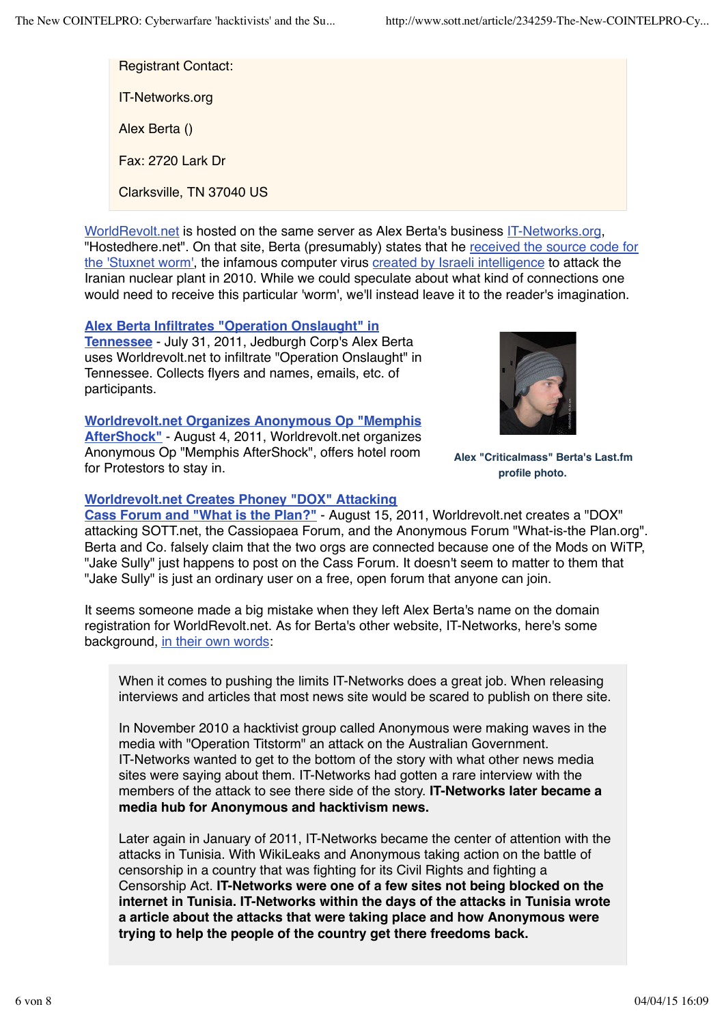Registrant Contact: IT-Networks.org Alex Berta () Fax: 2720 Lark Dr Clarksville, TN 37040 US

WorldRevolt.net is hosted on the same server as Alex Berta's business IT-Networks.org, "Hostedhere.net". On that site, Berta (presumably) states that he received the source code for the 'Stuxnet worm', the infamous computer virus created by Israeli intelligence to attack the Iranian nuclear plant in 2010. While we could speculate about what kind of connections one would need to receive this particular 'worm', we'll instead leave it to the reader's imagination.

#### **Alex Berta Infiltrates "Operation Onslaught" in**

**Tennessee** - July 31, 2011, Jedburgh Corp's Alex Berta uses Worldrevolt.net to infiltrate "Operation Onslaught" in Tennessee. Collects flyers and names, emails, etc. of participants.

#### **Worldrevolt.net Organizes Anonymous Op "Memphis**

**AfterShock"** - August 4, 2011, Worldrevolt.net organizes Anonymous Op "Memphis AfterShock", offers hotel room for Protestors to stay in.

#### **Worldrevolt.net Creates Phoney "DOX" Attacking**



**Alex "Criticalmass" Berta's Last.fm profile photo.**

**Cass Forum and "What is the Plan?"** - August 15, 2011, Worldrevolt.net creates a "DOX" attacking SOTT.net, the Cassiopaea Forum, and the Anonymous Forum "What-is-the Plan.org". Berta and Co. falsely claim that the two orgs are connected because one of the Mods on WiTP, "Jake Sully" just happens to post on the Cass Forum. It doesn't seem to matter to them that "Jake Sully" is just an ordinary user on a free, open forum that anyone can join.

It seems someone made a big mistake when they left Alex Berta's name on the domain registration for WorldRevolt.net. As for Berta's other website, IT-Networks, here's some background, in their own words:

When it comes to pushing the limits IT-Networks does a great job. When releasing interviews and articles that most news site would be scared to publish on there site.

In November 2010 a hacktivist group called Anonymous were making waves in the media with "Operation Titstorm" an attack on the Australian Government. IT-Networks wanted to get to the bottom of the story with what other news media sites were saying about them. IT-Networks had gotten a rare interview with the members of the attack to see there side of the story. **IT-Networks later became a media hub for Anonymous and hacktivism news.**

Later again in January of 2011, IT-Networks became the center of attention with the attacks in Tunisia. With WikiLeaks and Anonymous taking action on the battle of censorship in a country that was fighting for its Civil Rights and fighting a Censorship Act. **IT-Networks were one of a few sites not being blocked on the internet in Tunisia. IT-Networks within the days of the attacks in Tunisia wrote a article about the attacks that were taking place and how Anonymous were trying to help the people of the country get there freedoms back.**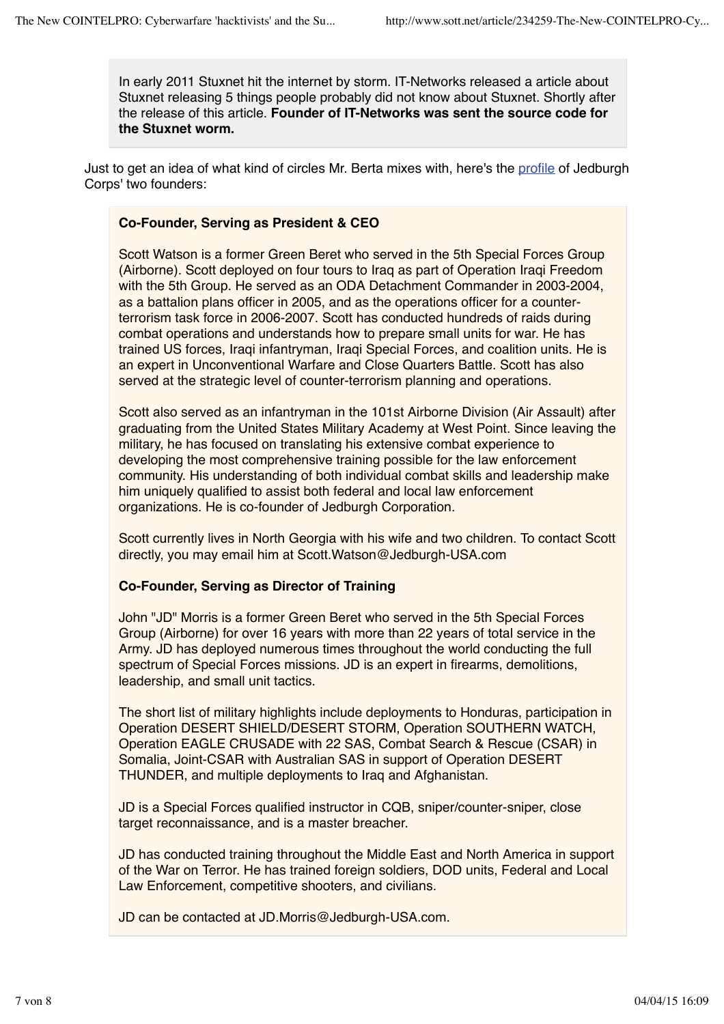In early 2011 Stuxnet hit the internet by storm. IT-Networks released a article about Stuxnet releasing 5 things people probably did not know about Stuxnet. Shortly after the release of this article. **Founder of IT-Networks was sent the source code for the Stuxnet worm.**

Just to get an idea of what kind of circles Mr. Berta mixes with, here's the profile of Jedburgh Corps' two founders:

### **Co-Founder, Serving as President & CEO**

Scott Watson is a former Green Beret who served in the 5th Special Forces Group (Airborne). Scott deployed on four tours to Iraq as part of Operation Iraqi Freedom with the 5th Group. He served as an ODA Detachment Commander in 2003-2004, as a battalion plans officer in 2005, and as the operations officer for a counterterrorism task force in 2006-2007. Scott has conducted hundreds of raids during combat operations and understands how to prepare small units for war. He has trained US forces, Iraqi infantryman, Iraqi Special Forces, and coalition units. He is an expert in Unconventional Warfare and Close Quarters Battle. Scott has also served at the strategic level of counter-terrorism planning and operations.

Scott also served as an infantryman in the 101st Airborne Division (Air Assault) after graduating from the United States Military Academy at West Point. Since leaving the military, he has focused on translating his extensive combat experience to developing the most comprehensive training possible for the law enforcement community. His understanding of both individual combat skills and leadership make him uniquely qualified to assist both federal and local law enforcement organizations. He is co-founder of Jedburgh Corporation.

Scott currently lives in North Georgia with his wife and two children. To contact Scott directly, you may email him at Scott.Watson@Jedburgh-USA.com

#### **Co-Founder, Serving as Director of Training**

John "JD" Morris is a former Green Beret who served in the 5th Special Forces Group (Airborne) for over 16 years with more than 22 years of total service in the Army. JD has deployed numerous times throughout the world conducting the full spectrum of Special Forces missions. JD is an expert in firearms, demolitions, leadership, and small unit tactics.

The short list of military highlights include deployments to Honduras, participation in Operation DESERT SHIELD/DESERT STORM, Operation SOUTHERN WATCH, Operation EAGLE CRUSADE with 22 SAS, Combat Search & Rescue (CSAR) in Somalia, Joint-CSAR with Australian SAS in support of Operation DESERT THUNDER, and multiple deployments to Iraq and Afghanistan.

JD is a Special Forces qualified instructor in CQB, sniper/counter-sniper, close target reconnaissance, and is a master breacher.

JD has conducted training throughout the Middle East and North America in support of the War on Terror. He has trained foreign soldiers, DOD units, Federal and Local Law Enforcement, competitive shooters, and civilians.

JD can be contacted at JD.Morris@Jedburgh-USA.com.